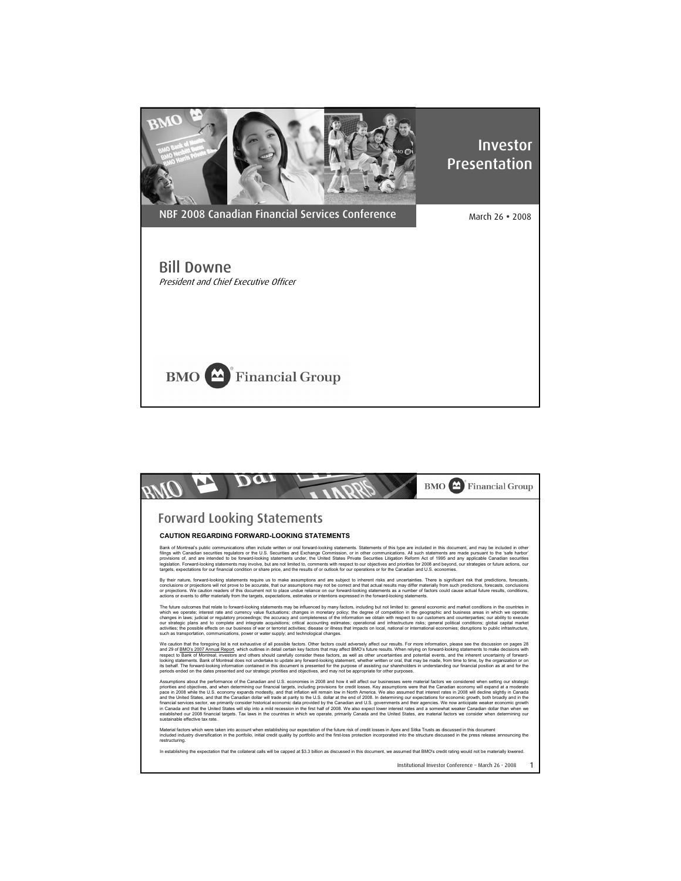

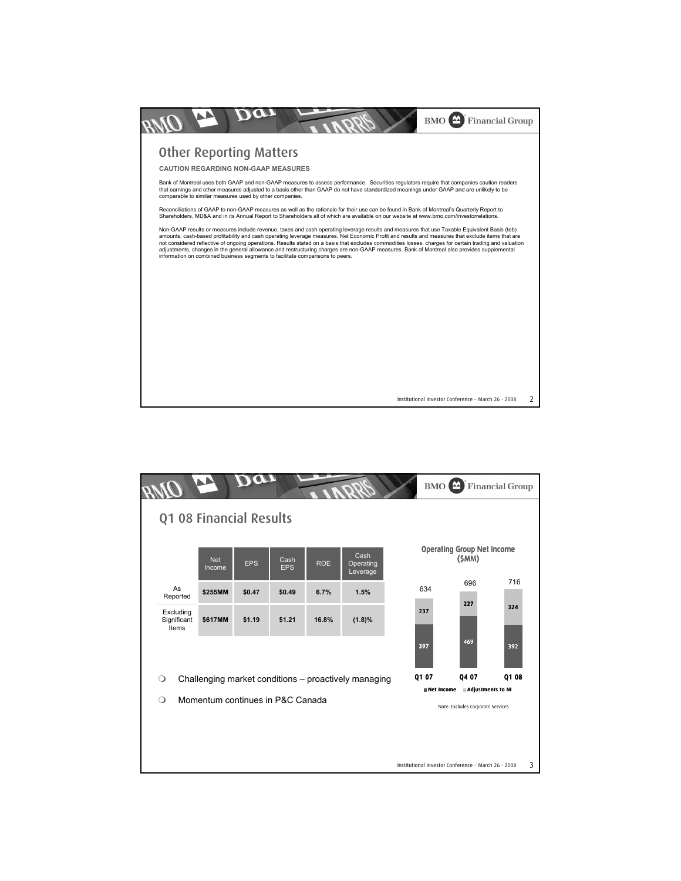

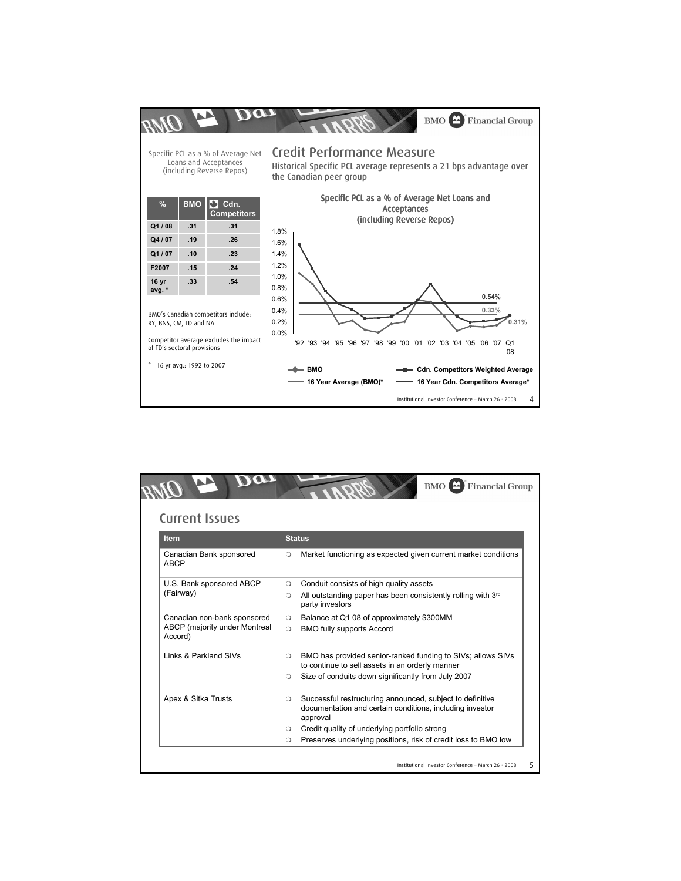

| <b>Current Issues</b>                                                   |                                                                                                                                                  |  |
|-------------------------------------------------------------------------|--------------------------------------------------------------------------------------------------------------------------------------------------|--|
| <b>Item</b>                                                             | <b>Status</b>                                                                                                                                    |  |
| Canadian Bank sponsored<br><b>ABCP</b>                                  | Market functioning as expected given current market conditions<br>$\circ$                                                                        |  |
| U.S. Bank sponsored ABCP<br>(Fairway)                                   | Conduit consists of high quality assets<br>$\circ$<br>All outstanding paper has been consistently rolling with 3rd<br>$\circ$<br>party investors |  |
| Canadian non-bank sponsored<br>ABCP (majority under Montreal<br>Accord) | Balance at Q1 08 of approximately \$300MM<br><b>BMO fully supports Accord</b>                                                                    |  |
| Links & Parkland SIVs                                                   | BMO has provided senior-ranked funding to SIVs; allows SIVs<br>$\circ$<br>to continue to sell assets in an orderly manner                        |  |
|                                                                         | Size of conduits down significantly from July 2007<br>$\circ$                                                                                    |  |
| Apex & Sitka Trusts                                                     | Successful restructuring announced, subject to definitive<br>$\circ$<br>documentation and certain conditions, including investor<br>approval     |  |
|                                                                         | Credit quality of underlying portfolio strong<br>$\circ$                                                                                         |  |
|                                                                         | Preserves underlying positions, risk of credit loss to BMO low<br>$\circ$                                                                        |  |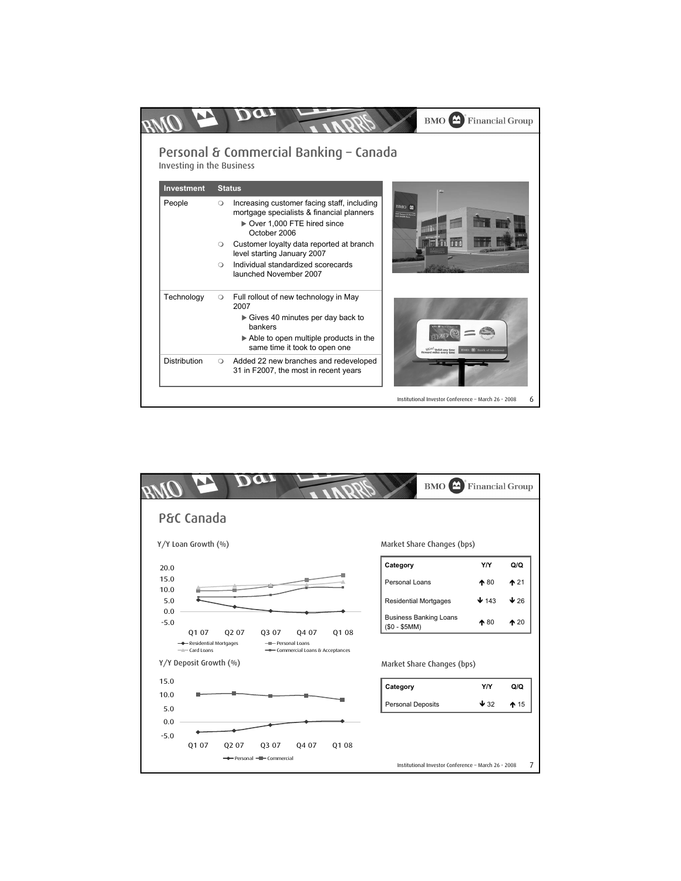|                                  |                                                                                                                                                   | <b>BMO</b> Financial Group                                                 |
|----------------------------------|---------------------------------------------------------------------------------------------------------------------------------------------------|----------------------------------------------------------------------------|
| <b>Investing in the Business</b> | Personal & Commercial Banking - Canada                                                                                                            |                                                                            |
| Investment                       | <b>Status</b>                                                                                                                                     |                                                                            |
| People                           | Increasing customer facing staff, including<br>$\circ$<br>mortgage specialists & financial planners<br>Over 1,000 FTE hired since<br>October 2006 | BMO M<br><b>EVAS Disnipor de Mesans</b>                                    |
|                                  | Customer loyalty data reported at branch<br>$\circ$<br>level starting January 2007                                                                |                                                                            |
|                                  | Individual standardized scorecards<br>$\bigcap$<br>launched November 2007                                                                         |                                                                            |
| Technology                       | Full rollout of new technology in May<br>$\circ$<br>2007                                                                                          |                                                                            |
|                                  | Gives 40 minutes per day back to<br>hankers                                                                                                       |                                                                            |
|                                  | $\triangleright$ Able to open multiple products in the<br>same time it took to open one                                                           | NEW! Debit any time<br>ward miles every time<br><b>BMO</b> Bank of Montrea |
| Distribution                     | Added 22 new branches and redeveloped<br>$\circ$<br>31 in F2007, the most in recent years                                                         |                                                                            |
|                                  |                                                                                                                                                   | Institutional Investor Conference - March 26 · 2008<br>6                   |